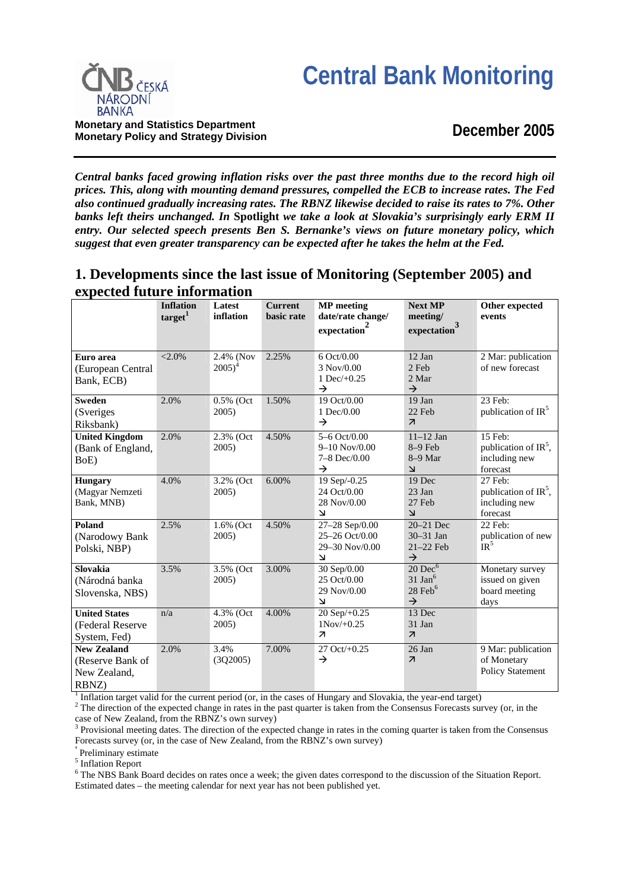# **Central Bank Monitoring**



**Monetary and Statistics Department Monetary Policy and Strategy Division**

## **December 2005**

*Central banks faced growing inflation risks over the past three months due to the record high oil prices. This, along with mounting demand pressures, compelled the ECB to increase rates. The Fed also continued gradually increasing rates. The RBNZ likewise decided to raise its rates to 7%. Other banks left theirs unchanged. In* **Spotlight** *we take a look at Slovakia's surprisingly early ERM II entry. Our selected speech presents Ben S. Bernanke's views on future monetary policy, which suggest that even greater transparency can be expected after he takes the helm at the Fed.*

## **1. Developments since the last issue of Monitoring (September 2005) and expected future information**

|                                                                 | <b>Inflation</b><br>target <sup>1</sup> | Latest<br>inflation    | <b>Current</b><br>basic rate | <b>MP</b> meeting<br>date/rate change/                                        | <b>Next MP</b><br>meeting/                                                    | Other expected<br>events                                        |
|-----------------------------------------------------------------|-----------------------------------------|------------------------|------------------------------|-------------------------------------------------------------------------------|-------------------------------------------------------------------------------|-----------------------------------------------------------------|
|                                                                 |                                         |                        |                              | expectation                                                                   | 3<br>expectation                                                              |                                                                 |
|                                                                 |                                         |                        |                              |                                                                               |                                                                               |                                                                 |
| Euro area<br>(European Central<br>Bank, ECB)                    | ${<}2.0\%$                              | 2.4% (Nov<br>$2005)^4$ | 2.25%                        | 6 Oct/0.00<br>3 Nov/0.00<br>1 Dec $/+0.25$<br>$\rightarrow$                   | 12 Jan<br>2 Feb<br>2 Mar<br>$\rightarrow$                                     | 2 Mar: publication<br>of new forecast                           |
| <b>Sweden</b><br>(Sveriges<br>Riksbank)                         | 2.0%                                    | 0.5% (Oct<br>2005)     | 1.50%                        | 19 Oct/0.00<br>1 Dec/0.00<br>$\rightarrow$                                    | 19 Jan<br>22 Feb<br>$\overline{\mathbf{z}}$                                   | 23 Feb:<br>publication of $IR5$                                 |
| <b>United Kingdom</b><br>(Bank of England,<br>BoE)              | 2.0%                                    | 2.3% (Oct<br>2005)     | 4.50%                        | 5-6 Oct/0.00<br>$9 - 10$ Nov/0.00<br>7-8 Dec/0.00<br>$\rightarrow$            | $11 - 12$ Jan<br>$8-9$ Feb<br>$8-9$ Mar<br>$\overline{\mathsf{K}}$            | 15 Feb:<br>publication of $IR^5$ ,<br>including new<br>forecast |
| <b>Hungary</b><br>(Magyar Nemzeti<br>Bank, MNB)                 | 4.0%                                    | 3.2% (Oct<br>2005)     | 6.00%                        | 19 Sep/-0.25<br>24 Oct/0.00<br>28 Nov/0.00<br>$\overline{\mathsf{K}}$         | 19 Dec<br>23 Jan<br>27 Feb<br>لا                                              | 27 Feb:<br>publication of $IR5$ ,<br>including new<br>forecast  |
| Poland<br>(Narodowy Bank<br>Polski, NBP)                        | 2.5%                                    | 1.6% (Oct)<br>2005)    | 4.50%                        | 27-28 Sep/0.00<br>25-26 Oct/0.00<br>29-30 Nov/0.00<br>$\overline{\mathsf{M}}$ | 20-21 Dec<br>30-31 Jan<br>$21-22$ Feb<br>$\rightarrow$                        | 22 Feb:<br>publication of new<br>IR <sup>5</sup>                |
| Slovakia<br>(Národná banka<br>Slovenska, NBS)                   | 3.5%                                    | 3.5% (Oct<br>2005)     | 3.00%                        | 30 Sep/0.00<br>25 Oct/0.00<br>29 Nov/0.00<br>$\overline{\mathsf{M}}$          | $20~\mathrm{Dec}^6$<br>$31$ Jan <sup>6</sup><br>$28$ Feb $6$<br>$\rightarrow$ | Monetary survey<br>issued on given<br>board meeting<br>days     |
| <b>United States</b><br>(Federal Reserve<br>System, Fed)        | n/a                                     | 4.3% (Oct<br>2005)     | 4.00%                        | 20 Sep/+0.25<br>$1Nov/+0.25$<br>$\overline{\phantom{a}}$                      | 13 Dec<br>31 Jan<br>$\overline{\mathcal{A}}$                                  |                                                                 |
| <b>New Zealand</b><br>(Reserve Bank of<br>New Zealand,<br>RBNZ) | 2.0%                                    | 3.4%<br>(3Q2005)       | 7.00%                        | 27 Oct/+0.25<br>$\rightarrow$                                                 | 26 Jan<br>$\overline{\mathcal{A}}$                                            | 9 Mar: publication<br>of Monetary<br><b>Policy Statement</b>    |

Inflation target valid for the current period (or, in the cases of Hungary and Slovakia, the year-end target)  $\frac{2}{\pi}$ . The direction of the avaneted change in rates in the pest querter is taken from the Consensus Forec

<sup>2</sup> The direction of the expected change in rates in the past quarter is taken from the Consensus Forecasts survey (or, in the case of New Zealand, from the RBNZ's own survey)<br><sup>3</sup> Provisional meeting datas. The direction of the avne

 Provisional meeting dates. The direction of the expected change in rates in the coming quarter is taken from the Consensus Forecasts survey (or, in the case of New Zealand, from the RBNZ's own survey)

4 Preliminary estimate

<sup>5</sup> Inflation Report

<sup>6</sup> The NBS Bank Board decides on rates once a week; the given dates correspond to the discussion of the Situation Report. Estimated dates – the meeting calendar for next year has not been published yet.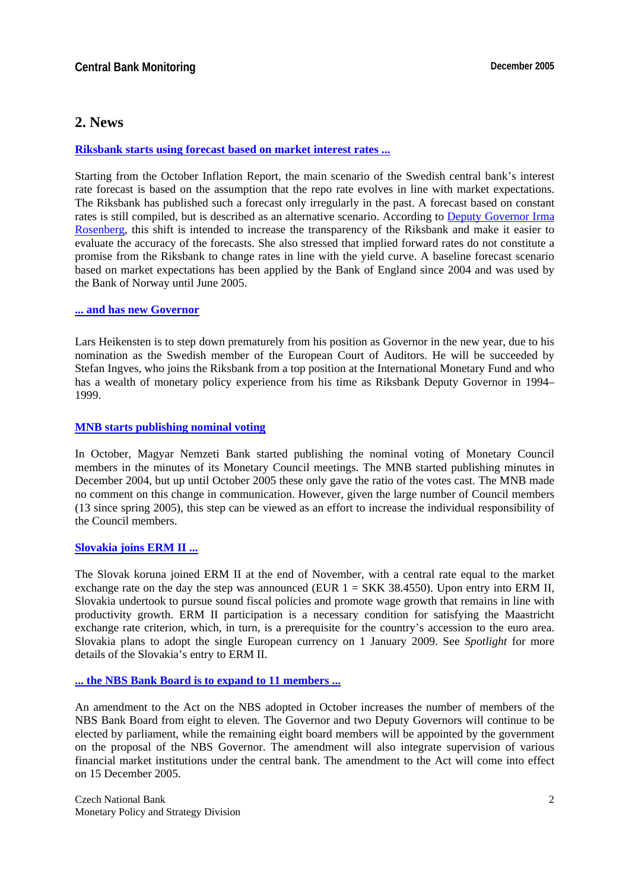### **2. News**

#### **[Riksbank starts using forecast based on market interest rates ...](http://www.riksbank.com/templates/Page.aspx?id=15784)**

Starting from the October Inflation Report, the main scenario of the Swedish central bank's interest rate forecast is based on the assumption that the repo rate evolves in line with market expectations. The Riksbank has published such a forecast only irregularly in the past. A forecast based on constant rates is still compiled, but is described as an alternative scenario. According to [Deputy Governor Irma](http://www.riksbank.com/templates/Page.aspx?id=17775)  [Rosenberg,](http://www.riksbank.com/templates/Page.aspx?id=17775) this shift is intended to increase the transparency of the Riksbank and make it easier to evaluate the accuracy of the forecasts. She also stressed that implied forward rates do not constitute a promise from the Riksbank to change rates in line with the yield curve. A baseline forecast scenario based on market expectations has been applied by the Bank of England since 2004 and was used by the Bank of Norway until June 2005.

#### **[... and has new Governor](http://www.riksbank.com/templates/Page.aspx?id=15453)**

Lars Heikensten is to step down prematurely from his position as Governor in the new year, due to his nomination as the Swedish member of the European Court of Auditors. He will be succeeded by Stefan Ingves, who joins the Riksbank from a top position at the International Monetary Fund and who has a wealth of monetary policy experience from his time as Riksbank Deputy Governor in 1994– 1999.

#### **[MNB starts publishing nominal voting](http://english.mnb.hu/Resource.aspx?ResourceID=mnbfile&resourcename=minutes_20051024en)**

In October, Magyar Nemzeti Bank started publishing the nominal voting of Monetary Council members in the minutes of its Monetary Council meetings. The MNB started publishing minutes in December 2004, but up until October 2005 these only gave the ratio of the votes cast. The MNB made no comment on this change in communication. However, given the large number of Council members (13 since spring 2005), this step can be viewed as an effort to increase the individual responsibility of the Council members.

#### **[Slovakia joins ERM II ...](http://www.nbs.sk/PRESS/PR051128.HTM)**

The Slovak koruna joined ERM II at the end of November, with a central rate equal to the market exchange rate on the day the step was announced (EUR  $1 = SKK 38.4550$ ). Upon entry into ERM II, Slovakia undertook to pursue sound fiscal policies and promote wage growth that remains in line with productivity growth. ERM II participation is a necessary condition for satisfying the Maastricht exchange rate criterion, which, in turn, is a prerequisite for the country's accession to the euro area. Slovakia plans to adopt the single European currency on 1 January 2009. See *Spotlight* for more details of the Slovakia's entry to ERM II.

#### **[... the NBS Bank Board is to expand to 11 members ...](http://ekonomika.sme.sk/c/2471089/Novela-zakona-o-NBS-pripravi-centralnu-banku-na-dohlad-nad-financnym-trhom.html)**

An amendment to the Act on the NBS adopted in October increases the number of members of the NBS Bank Board from eight to eleven. The Governor and two Deputy Governors will continue to be elected by parliament, while the remaining eight board members will be appointed by the government on the proposal of the NBS Governor. The amendment will also integrate supervision of various financial market institutions under the central bank. The amendment to the Act will come into effect on 15 December 2005.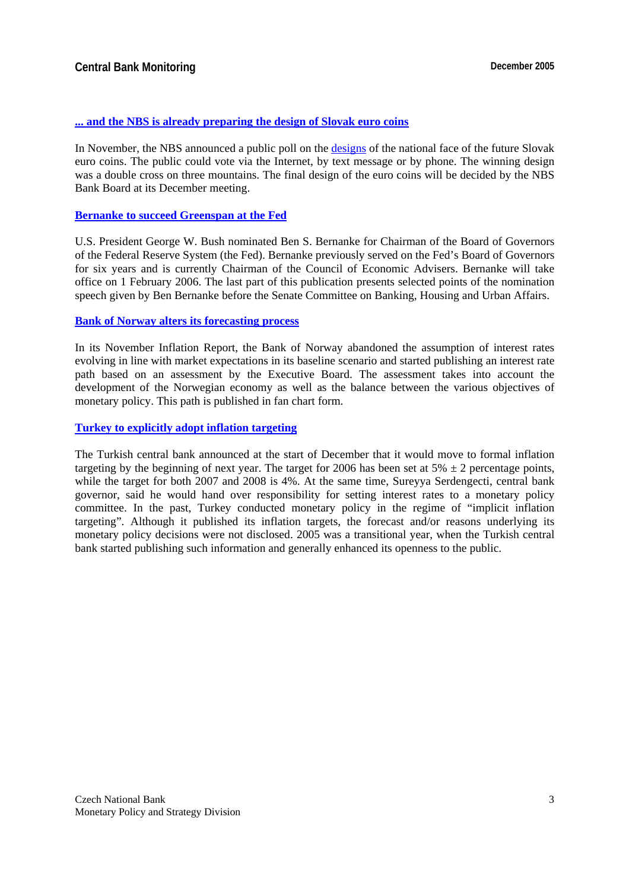#### **[... and the NBS is already preparing the design of Slovak euro coins](http://www.nbs.sk/PRESS/TS051121_2.HTM)**

In November, the NBS announced a public poll on the [designs o](http://www.nbs.sk/EURINT/EURO/ANKETA/index.html)f the national face of the future Slovak euro coins. The public could vote via the Internet, by text message or by phone. The winning design was a double cross on three mountains. The final design of the euro coins will be decided by the NBS Bank Board at its December meeting.

#### **[Bernanke to succeed Greenspan at the Fed](http://www.whitehouse.gov/news/releases/2005/10/20051024-2.html)**

U.S. President George W. Bush nominated Ben S. Bernanke for Chairman of the Board of Governors of the Federal Reserve System (the Fed). Bernanke previously served on the Fed's Board of Governors for six years and is currently Chairman of the Council of Economic Advisers. Bernanke will take office on 1 February 2006. The last part of this publication presents selected points of the nomination speech given by Ben Bernanke before the Senate Committee on Banking, Housing and Urban Affairs.

#### **[Bank of Norway alters its forecasting process](http://www.norges-bank.no/front/rapport/en/ir/2005-03/ir-2005-03-en.pdf)**

In its November Inflation Report, the Bank of Norway abandoned the assumption of interest rates evolving in line with market expectations in its baseline scenario and started publishing an interest rate path based on an assessment by the Executive Board. The assessment takes into account the development of the Norwegian economy as well as the balance between the various objectives of monetary policy. This path is published in fan chart form.

#### **[Turkey to explicitly adopt inflation targeting](https://registration.ft.com/registration/barrier?referer=&location=http%3A//news.ft.com/cms/s/7cee8320-65b9-11da-8f40-0000779e2340.html)**

The Turkish central bank announced at the start of December that it would move to formal inflation targeting by the beginning of next year. The target for 2006 has been set at  $5\% \pm 2$  percentage points, while the target for both 2007 and 2008 is 4%. At the same time, Sureyya Serdengecti, central bank governor, said he would hand over responsibility for setting interest rates to a monetary policy committee. In the past, Turkey conducted monetary policy in the regime of "implicit inflation targeting". Although it published its inflation targets, the forecast and/or reasons underlying its monetary policy decisions were not disclosed. 2005 was a transitional year, when the Turkish central bank started publishing such information and generally enhanced its openness to the public.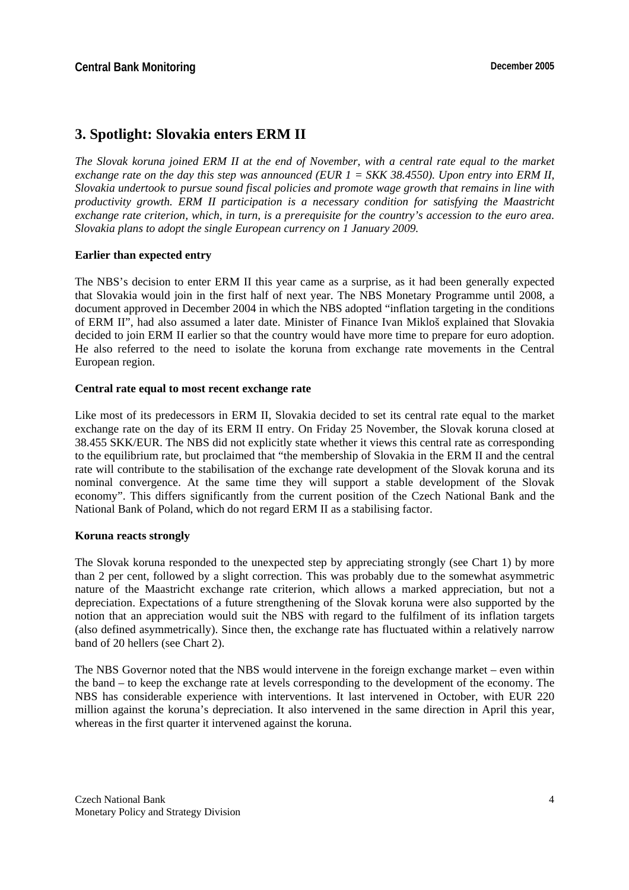## **3. Spotlight: Slovakia enters ERM II**

*The Slovak koruna joined ERM II at the end of November, with a central rate equal to the market exchange rate on the day this step was announced (EUR*  $1 = SKK 38.4550$ *). Upon entry into ERM II, Slovakia undertook to pursue sound fiscal policies and promote wage growth that remains in line with productivity growth. ERM II participation is a necessary condition for satisfying the Maastricht exchange rate criterion, which, in turn, is a prerequisite for the country's accession to the euro area. Slovakia plans to adopt the single European currency on 1 January 2009.* 

#### **Earlier than expected entry**

The NBS's decision to enter ERM II this year came as a surprise, as it had been generally expected that Slovakia would join in the first half of next year. The NBS Monetary Programme until 2008, a document approved in December 2004 in which the NBS adopted "inflation targeting in the conditions of ERM II", had also assumed a later date. Minister of Finance Ivan Mikloš explained that Slovakia decided to join ERM II earlier so that the country would have more time to prepare for euro adoption. He also referred to the need to isolate the koruna from exchange rate movements in the Central European region.

#### **Central rate equal to most recent exchange rate**

Like most of its predecessors in ERM II, Slovakia decided to set its central rate equal to the market exchange rate on the day of its ERM II entry. On Friday 25 November, the Slovak koruna closed at 38.455 SKK/EUR. The NBS did not explicitly state whether it views this central rate as corresponding to the equilibrium rate, but proclaimed that "the membership of Slovakia in the ERM II and the central rate will contribute to the stabilisation of the exchange rate development of the Slovak koruna and its nominal convergence. At the same time they will support a stable development of the Slovak economy". This differs significantly from the current position of the Czech National Bank and the National Bank of Poland, which do not regard ERM II as a stabilising factor.

#### **Koruna reacts strongly**

The Slovak koruna responded to the unexpected step by appreciating strongly (see Chart 1) by more than 2 per cent, followed by a slight correction. This was probably due to the somewhat asymmetric nature of the Maastricht exchange rate criterion, which allows a marked appreciation, but not a depreciation. Expectations of a future strengthening of the Slovak koruna were also supported by the notion that an appreciation would suit the NBS with regard to the fulfilment of its inflation targets (also defined asymmetrically). Since then, the exchange rate has fluctuated within a relatively narrow band of 20 hellers (see Chart 2).

The NBS Governor noted that the NBS would intervene in the foreign exchange market – even within the band – to keep the exchange rate at levels corresponding to the development of the economy. The NBS has considerable experience with interventions. It last intervened in October, with EUR 220 million against the koruna's depreciation. It also intervened in the same direction in April this year, whereas in the first quarter it intervened against the koruna.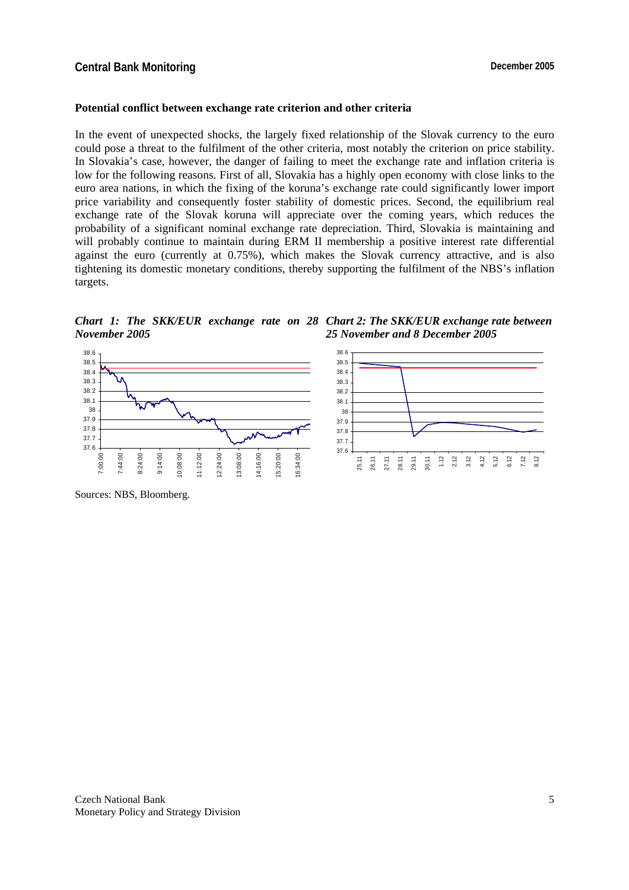#### **Potential conflict between exchange rate criterion and other criteria**

In the event of unexpected shocks, the largely fixed relationship of the Slovak currency to the euro could pose a threat to the fulfilment of the other criteria, most notably the criterion on price stability. In Slovakia's case, however, the danger of failing to meet the exchange rate and inflation criteria is low for the following reasons. First of all, Slovakia has a highly open economy with close links to the euro area nations, in which the fixing of the koruna's exchange rate could significantly lower import price variability and consequently foster stability of domestic prices. Second, the equilibrium real exchange rate of the Slovak koruna will appreciate over the coming years, which reduces the probability of a significant nominal exchange rate depreciation. Third, Slovakia is maintaining and will probably continue to maintain during ERM II membership a positive interest rate differential against the euro (currently at 0.75%), which makes the Slovak currency attractive, and is also tightening its domestic monetary conditions, thereby supporting the fulfilment of the NBS's inflation targets.

*Chart 1: The SKK/EUR exchange rate on 28 Chart 2: The SKK/EUR exchange rate between November 2005 25 November and 8 December 2005*



Sources: NBS, Bloomberg.